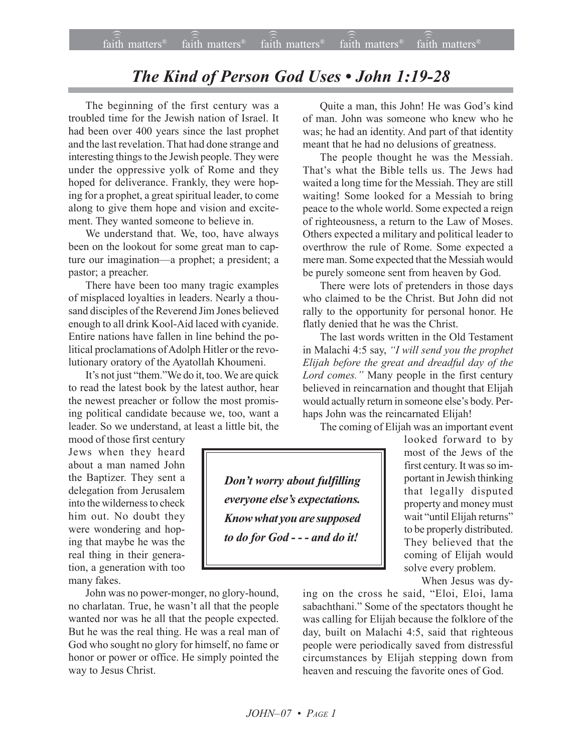## **The Kind of Person God Uses • John 1:19-28**

The beginning of the first century was a troubled time for the Jewish nation of Israel. It had been over 400 years since the last prophet and the last revelation. That had done strange and interesting things to the Jewish people. They were under the oppressive yolk of Rome and they hoped for deliverance. Frankly, they were hoping for a prophet, a great spiritual leader, to come along to give them hope and vision and excitement. They wanted someone to believe in.

We understand that. We, too, have always been on the lookout for some great man to capture our imagination—a prophet; a president; a pastor; a preacher.

There have been too many tragic examples of misplaced loyalties in leaders. Nearly a thousand disciples of the Reverend Jim Jones believed enough to all drink Kool-Aid laced with cyanide. Entire nations have fallen in line behind the political proclamations of Adolph Hitler or the revolutionary oratory of the Ayatollah Khoumeni.

It's not just "them." We do it, too. We are quick to read the latest book by the latest author, hear the newest preacher or follow the most promising political candidate because we, too, want a leader. So we understand, at least a little bit, the

mood of those first century Jews when they heard about a man named John the Baptizer. They sent a delegation from Jerusalem into the wilderness to check him out. No doubt they were wondering and hoping that maybe he was the real thing in their generation, a generation with too many fakes.

John was no power-monger, no glory-hound, no charlatan. True, he wasn't all that the people wanted nor was he all that the people expected. But he was the real thing. He was a real man of God who sought no glory for himself, no fame or honor or power or office. He simply pointed the way to Jesus Christ.

Quite a man, this John! He was God's kind of man. John was someone who knew who he was; he had an identity. And part of that identity meant that he had no delusions of greatness.

The people thought he was the Messiah. That's what the Bible tells us. The Jews had waited a long time for the Messiah. They are still waiting! Some looked for a Messiah to bring peace to the whole world. Some expected a reign of righteousness, a return to the Law of Moses. Others expected a military and political leader to overthrow the rule of Rome. Some expected a mere man. Some expected that the Messiah would be purely someone sent from heaven by God.

There were lots of pretenders in those days who claimed to be the Christ. But John did not rally to the opportunity for personal honor. He flatly denied that he was the Christ.

The last words written in the Old Testament in Malachi 4:5 say, "I will send you the prophet *Elijah before the great and dreadful day of the* Lord comes." Many people in the first century believed in reincarnation and thought that Elijah would actually return in someone else's body. Perhaps John was the reincarnated Elijah!

The coming of Elijah was an important event

*Donít worry about fulfilling everyone else's expectations. Know what you are supposed to do for God - - - and do it!*

looked forward to by most of the Jews of the first century. It was so important in Jewish thinking that legally disputed property and money must wait "until Elijah returns" to be properly distributed. They believed that the coming of Elijah would solve every problem.

When Jesus was dy-

ing on the cross he said, "Eloi, Eloi, lama sabachthani." Some of the spectators thought he was calling for Elijah because the folklore of the day, built on Malachi 4:5, said that righteous people were periodically saved from distressful circumstances by Elijah stepping down from heaven and rescuing the favorite ones of God.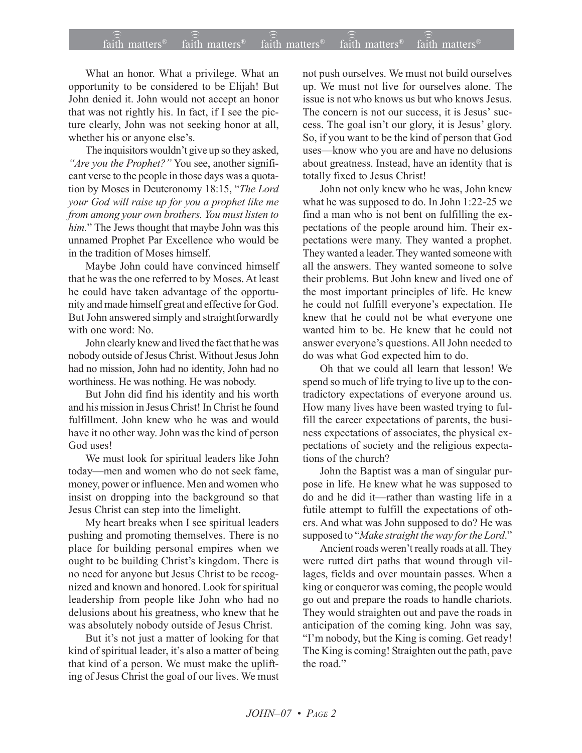## $\widehat{\widehat{\mathfrak{tair}}}$  matters  $\widehat{\widehat{\mathfrak{tair}}}$  matters  $\widehat{\widehat{\mathfrak{tair}}}$  matters  $\widehat{\widehat{\mathfrak{tair}}}$  matters  $\widehat{\widehat{\mathfrak{se}}}$  faith matters faith matters<sup>®</sup> faith matters<sup>®</sup> faith matters

What an honor. What a privilege. What an opportunity to be considered to be Elijah! But John denied it. John would not accept an honor that was not rightly his. In fact, if I see the picture clearly, John was not seeking honor at all, whether his or anyone else's.

The inquisitors wouldn't give up so they asked, *<sup>1</sup>Are you the Prophet?*<sup>*''*</sup> You see, another significant verse to the people in those days was a quotation by Moses in Deuteronomy 18:15, "The Lord *your God will raise up for you a prophet like me from among your own brothers. You must listen to him.*" The Jews thought that maybe John was this unnamed Prophet Par Excellence who would be in the tradition of Moses himself.

Maybe John could have convinced himself that he was the one referred to by Moses. At least he could have taken advantage of the opportunity and made himself great and effective for God. But John answered simply and straightforwardly with one word: No.

John clearly knew and lived the fact that he was nobody outside of Jesus Christ. Without Jesus John had no mission, John had no identity, John had no worthiness. He was nothing. He was nobody.

But John did find his identity and his worth and his mission in Jesus Christ! In Christ he found fulfillment. John knew who he was and would have it no other way. John was the kind of person God uses!

We must look for spiritual leaders like John today—men and women who do not seek fame, money, power or influence. Men and women who insist on dropping into the background so that Jesus Christ can step into the limelight.

My heart breaks when I see spiritual leaders pushing and promoting themselves. There is no place for building personal empires when we ought to be building Christ's kingdom. There is no need for anyone but Jesus Christ to be recognized and known and honored. Look for spiritual leadership from people like John who had no delusions about his greatness, who knew that he was absolutely nobody outside of Jesus Christ.

But it's not just a matter of looking for that kind of spiritual leader, it's also a matter of being that kind of a person. We must make the uplifting of Jesus Christ the goal of our lives. We must

not push ourselves. We must not build ourselves up. We must not live for ourselves alone. The issue is not who knows us but who knows Jesus. The concern is not our success, it is Jesus' success. The goal isn't our glory, it is Jesus' glory. So, if you want to be the kind of person that God uses—know who you are and have no delusions about greatness. Instead, have an identity that is totally fixed to Jesus Christ!

John not only knew who he was, John knew what he was supposed to do. In John 1:22-25 we find a man who is not bent on fulfilling the expectations of the people around him. Their expectations were many. They wanted a prophet. They wanted a leader. They wanted someone with all the answers. They wanted someone to solve their problems. But John knew and lived one of the most important principles of life. He knew he could not fulfill everyone's expectation. He knew that he could not be what everyone one wanted him to be. He knew that he could not answer everyone's questions. All John needed to do was what God expected him to do.

Oh that we could all learn that lesson! We spend so much of life trying to live up to the contradictory expectations of everyone around us. How many lives have been wasted trying to fulfill the career expectations of parents, the business expectations of associates, the physical expectations of society and the religious expectations of the church?

John the Baptist was a man of singular purpose in life. He knew what he was supposed to do and he did it—rather than wasting life in a futile attempt to fulfill the expectations of others. And what was John supposed to do? He was supposed to "*Make straight the way for the Lord*."

Ancient roads weren't really roads at all. They were rutted dirt paths that wound through villages, fields and over mountain passes. When a king or conqueror was coming, the people would go out and prepare the roads to handle chariots. They would straighten out and pave the roads in anticipation of the coming king. John was say, "I'm nobody, but the King is coming. Get ready! The King is coming! Straighten out the path, pave the road."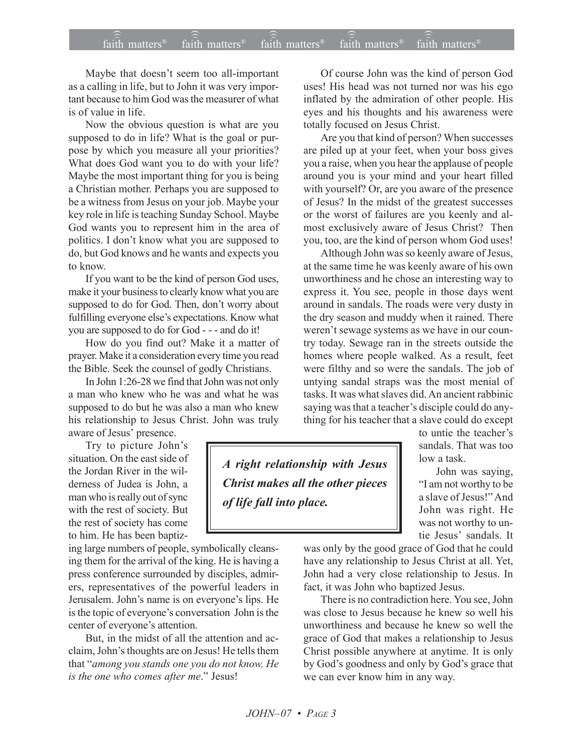## $\widehat{\widehat{\mathfrak{tair}}}$  matters  $\widehat{\widehat{\mathfrak{tair}}}$  matters  $\widehat{\widehat{\mathfrak{tair}}}$  matters  $\widehat{\widehat{\mathfrak{tair}}}$  matters  $\widehat{\widehat{\mathfrak{se}}}$  faith matters ))) faith matters<sup>®</sup> faith matters

Maybe that doesn't seem too all-important as a calling in life, but to John it was very important because to him God was the measurer of what is of value in life.

Now the obvious question is what are you supposed to do in life? What is the goal or purpose by which you measure all your priorities? What does God want you to do with your life? Maybe the most important thing for you is being a Christian mother. Perhaps you are supposed to be a witness from Jesus on your job. Maybe your key role in life is teaching Sunday School. Maybe God wants you to represent him in the area of politics. I don't know what you are supposed to do, but God knows and he wants and expects you to know.

If you want to be the kind of person God uses, make it your business to clearly know what you are supposed to do for God. Then, don't worry about fulfilling everyone else's expectations. Know what you are supposed to do for God - - - and do it!

How do you find out? Make it a matter of prayer. Make it a consideration every time you read the Bible. Seek the counsel of godly Christians.

In John 1:26-28 we find that John was not only a man who knew who he was and what he was supposed to do but he was also a man who knew his relationship to Jesus Christ. John was truly aware of Jesus' presence.

Try to picture John's situation. On the east side of the Jordan River in the wilderness of Judea is John, a man who is really out of sync with the rest of society. But the rest of society has come to him. He has been baptiz-

ing large numbers of people, symbolically cleansing them for the arrival of the king. He is having a press conference surrounded by disciples, admirers, representatives of the powerful leaders in Jerusalem. John's name is on everyone's lips. He is the topic of everyone's conversation John is the center of everyone's attention.

But, in the midst of all the attention and acclaim, John's thoughts are on Jesus! He tells them that "*among you stands one you do not know. He is the one who comes after me.*" Jesus!

Of course John was the kind of person God uses! His head was not turned nor was his ego inflated by the admiration of other people. His eyes and his thoughts and his awareness were totally focused on Jesus Christ.

Are you that kind of person? When successes are piled up at your feet, when your boss gives you a raise, when you hear the applause of people around you is your mind and your heart filled with yourself? Or, are you aware of the presence of Jesus? In the midst of the greatest successes or the worst of failures are you keenly and almost exclusively aware of Jesus Christ? Then you, too, are the kind of person whom God uses!

Although John was so keenly aware of Jesus, at the same time he was keenly aware of his own unworthiness and he chose an interesting way to express it. You see, people in those days went around in sandals. The roads were very dusty in the dry season and muddy when it rained. There weren't sewage systems as we have in our country today. Sewage ran in the streets outside the homes where people walked. As a result, feet were filthy and so were the sandals. The job of untying sandal straps was the most menial of tasks. It was what slaves did. An ancient rabbinic saying was that a teacher's disciple could do anything for his teacher that a slave could do except

*A right relationship with Jesus Christ makes all the other pieces of life fall into place.*

to untie the teacher's sandals. That was too low a task.

John was saying, "I am not worthy to be a slave of Jesus!" And John was right. He was not worthy to untie Jesus' sandals. It

was only by the good grace of God that he could have any relationship to Jesus Christ at all. Yet, John had a very close relationship to Jesus. In fact, it was John who baptized Jesus.

There is no contradiction here. You see, John was close to Jesus because he knew so well his unworthiness and because he knew so well the grace of God that makes a relationship to Jesus Christ possible anywhere at anytime. It is only by God's goodness and only by God's grace that we can ever know him in any way.